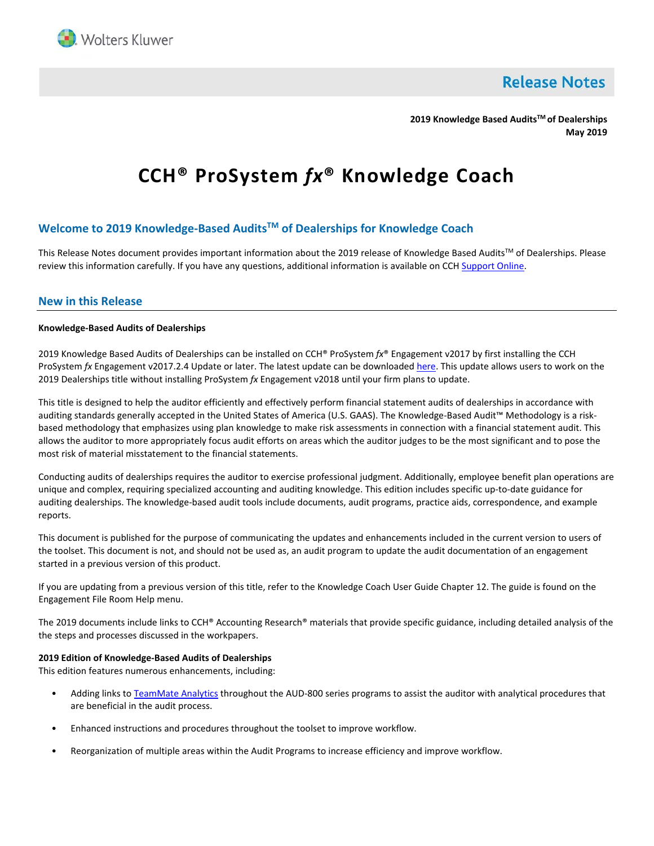

**Release Notes** 

**2019 Knowledge Based AuditsTM of Dealerships May 2019**

# **CCH® ProSystem** *fx***® Knowledge Coach**

# **Welcome to 2019 Knowledge-Based AuditsTM of Dealerships for Knowledge Coach**

This Release Notes document provides important information about the 2019 release of Knowledge Based Audits™ of Dealerships. Please review this information carefully. If you have any questions, additional information is available on CC[H Support Online.](http://support.cch.com/productsupport/)

## **New in this Release**

#### **Knowledge-Based Audits of Dealerships**

2019 Knowledge Based Audits of Dealerships can be installed on CCH® ProSystem *fx*® Engagement v2017 by first installing the CCH ProSystem *fx* Engagement v2017.2.4 Update or later. The latest update can be downloade[d here.](https://support.cch.com/updates/Engagement/release2017/release2017.aspx) This update allows users to work on the 2019 Dealerships title without installing ProSystem *fx* Engagement v2018 until your firm plans to update.

This title is designed to help the auditor efficiently and effectively perform financial statement audits of dealerships in accordance with auditing standards generally accepted in the United States of America (U.S. GAAS). The Knowledge-Based Audit™ Methodology is a riskbased methodology that emphasizes using plan knowledge to make risk assessments in connection with a financial statement audit. This allows the auditor to more appropriately focus audit efforts on areas which the auditor judges to be the most significant and to pose the most risk of material misstatement to the financial statements.

Conducting audits of dealerships requires the auditor to exercise professional judgment. Additionally, employee benefit plan operations are unique and complex, requiring specialized accounting and auditing knowledge. This edition includes specific up-to-date guidance for auditing dealerships. The knowledge-based audit tools include documents, audit programs, practice aids, correspondence, and example reports.

This document is published for the purpose of communicating the updates and enhancements included in the current version to users of the toolset. This document is not, and should not be used as, an audit program to update the audit documentation of an engagement started in a previous version of this product.

If you are updating from a previous version of this title, refer to the Knowledge Coach User Guide Chapter 12. The guide is found on the Engagement File Room Help menu.

The 2019 documents include links to CCH® Accounting Research® materials that provide specific guidance, including detailed analysis of the the steps and processes discussed in the workpapers.

## **2019 Edition of Knowledge-Based Audits of Dealerships**

This edition features numerous enhancements, including:

- Adding links t[o TeamMate Analytics](http://engagetax.wolterskluwer.com/l/339101/2018-03-29/2w349) throughout the AUD-800 series programs to assist the auditor with analytical procedures that are beneficial in the audit process.
- Enhanced instructions and procedures throughout the toolset to improve workflow.
- Reorganization of multiple areas within the Audit Programs to increase efficiency and improve workflow.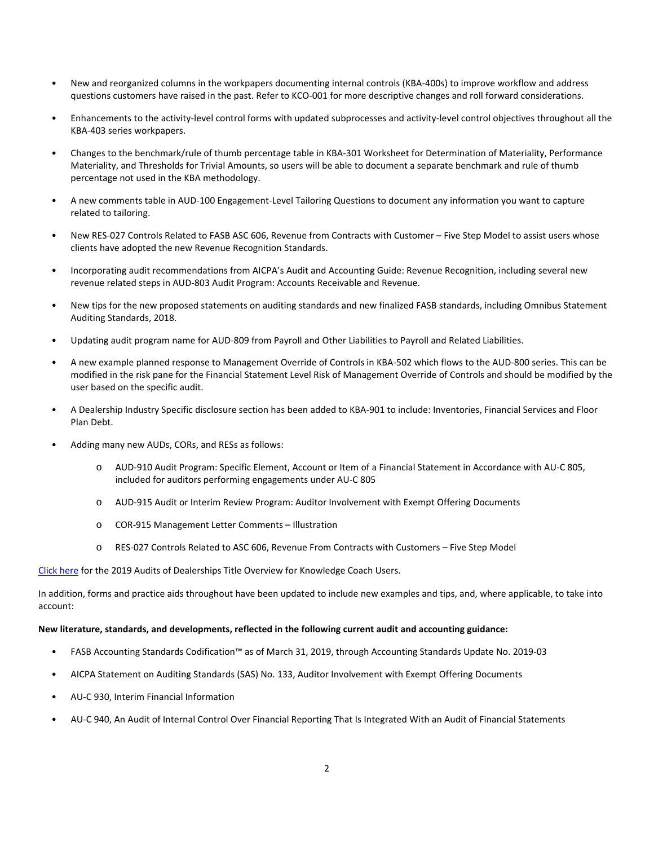- New and reorganized columns in the workpapers documenting internal controls (KBA-400s) to improve workflow and address questions customers have raised in the past. Refer to KCO-001 for more descriptive changes and roll forward considerations.
- Enhancements to the activity-level control forms with updated subprocesses and activity-level control objectives throughout all the KBA-403 series workpapers.
- Changes to the benchmark/rule of thumb percentage table in KBA-301 Worksheet for Determination of Materiality, Performance Materiality, and Thresholds for Trivial Amounts, so users will be able to document a separate benchmark and rule of thumb percentage not used in the KBA methodology.
- A new comments table in AUD-100 Engagement-Level Tailoring Questions to document any information you want to capture related to tailoring.
- New RES-027 Controls Related to FASB ASC 606, Revenue from Contracts with Customer Five Step Model to assist users whose clients have adopted the new Revenue Recognition Standards.
- Incorporating audit recommendations from AICPA's Audit and Accounting Guide: Revenue Recognition, including several new revenue related steps in AUD-803 Audit Program: Accounts Receivable and Revenue.
- New tips for the new proposed statements on auditing standards and new finalized FASB standards, including Omnibus Statement Auditing Standards, 2018.
- Updating audit program name for AUD-809 from Payroll and Other Liabilities to Payroll and Related Liabilities.
- A new example planned response to Management Override of Controls in KBA-502 which flows to the AUD-800 series. This can be modified in the risk pane for the Financial Statement Level Risk of Management Override of Controls and should be modified by the user based on the specific audit.
- A Dealership Industry Specific disclosure section has been added to KBA-901 to include: Inventories, Financial Services and Floor Plan Debt.
- Adding many new AUDs, CORs, and RESs as follows:
	- o AUD-910 Audit Program: Specific Element, Account or Item of a Financial Statement in Accordance with AU-C 805, included for auditors performing engagements under AU-C 805
	- o AUD-915 Audit or Interim Review Program: Auditor Involvement with Exempt Offering Documents
	- o COR-915 Management Letter Comments Illustration
	- o RES-027 Controls Related to ASC 606, Revenue From Contracts with Customers Five Step Model

[Click here](http://support.cch.com/updates/KnowledgeCoach/pdf/guides_tab/2019%20Dealerships%20Audits%20Title%20Overview%20for%20Knowledge%20Coach%20Users.pdf) for the 2019 Audits of Dealerships Title Overview for Knowledge Coach Users.

In addition, forms and practice aids throughout have been updated to include new examples and tips, and, where applicable, to take into account:

### **New literature, standards, and developments, reflected in the following current audit and accounting guidance:**

- FASB Accounting Standards Codification™ as of March 31, 2019, through Accounting Standards Update No. 2019-03
- AICPA Statement on Auditing Standards (SAS) No. 133, Auditor Involvement with Exempt Offering Documents
- AU-C 930, Interim Financial Information
- AU-C 940, An Audit of Internal Control Over Financial Reporting That Is Integrated With an Audit of Financial Statements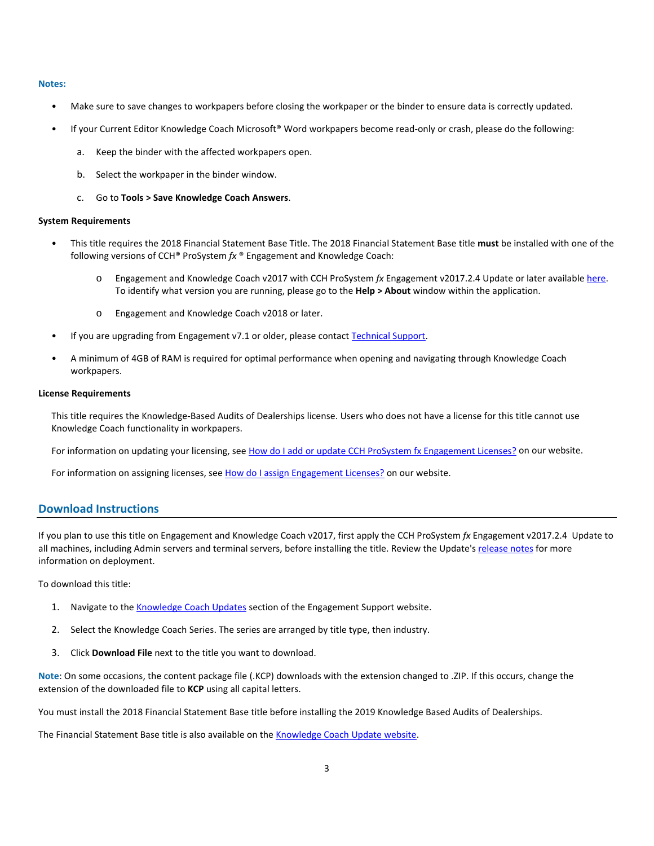#### **Notes:**

- Make sure to save changes to workpapers before closing the workpaper or the binder to ensure data is correctly updated.
- If your Current Editor Knowledge Coach Microsoft® Word workpapers become read-only or crash, please do the following:
	- a. Keep the binder with the affected workpapers open.
	- b. Select the workpaper in the binder window.
	- c. Go to **Tools > Save Knowledge Coach Answers**.

#### **System Requirements**

- This title requires the 2018 Financial Statement Base Title. The 2018 Financial Statement Base title **must** be installed with one of the following versions of CCH® ProSystem *fx* ® Engagement and Knowledge Coach:
	- o Engagement and Knowledge Coach v2017 with CCH ProSystem *fx* Engagement v2017.2.4 Update or later availabl[e here.](https://support.cch.com/updates/Engagement/release2017/release2017.aspx)  To identify what version you are running, please go to the **Help > About** window within the application.
	- o Engagement and Knowledge Coach v2018 or later.
- If you are upgrading from Engagement v7.1 or older, please contac[t Technical Support.](https://support.cch.com/contact)
- A minimum of 4GB of RAM is required for optimal performance when opening and navigating through Knowledge Coach workpapers.

## **License Requirements**

This title requires the Knowledge-Based Audits of Dealerships license. Users who does not have a license for this title cannot use Knowledge Coach functionality in workpapers.

For information on updating your licensing, see [How do I add or update CCH ProSystem fx Engagement Licenses?](https://support.cch.com/kb/solution.aspx/sw3937) on our website.

For information on assigning licenses, see [How do I assign Engagement Licenses?](https://support.cch.com/kb/solution.aspx/sw3943) on our website.

# **Download Instructions**

If you plan to use this title on Engagement and Knowledge Coach v2017, first apply the CCH ProSystem *fx* Engagement v2017.2.4 Update to all machines, including Admin servers and terminal servers, before installing the title. Review the Update's [release notes](https://d2iceilwdglxpz.cloudfront.net/release_notes/CCH%20ProSystem%20fx%20Engagement%20Release%20Notes%202017.2.4.pdf) for more information on deployment.

To download this title:

- 1. Navigate to the [Knowledge Coach Updates](http://support.cch.com/updates/KnowledgeCoach) section of the Engagement Support website.
- 2. Select the Knowledge Coach Series. The series are arranged by title type, then industry.
- 3. Click **Download File** next to the title you want to download.

**Note**: On some occasions, the content package file (.KCP) downloads with the extension changed to .ZIP. If this occurs, change the extension of the downloaded file to **KCP** using all capital letters.

You must install the 2018 Financial Statement Base title before installing the 2019 Knowledge Based Audits of Dealerships.

The Financial Statement Base title is also available on th[e Knowledge Coach Update website.](http://support.cch.com/updates/KnowledgeCoach)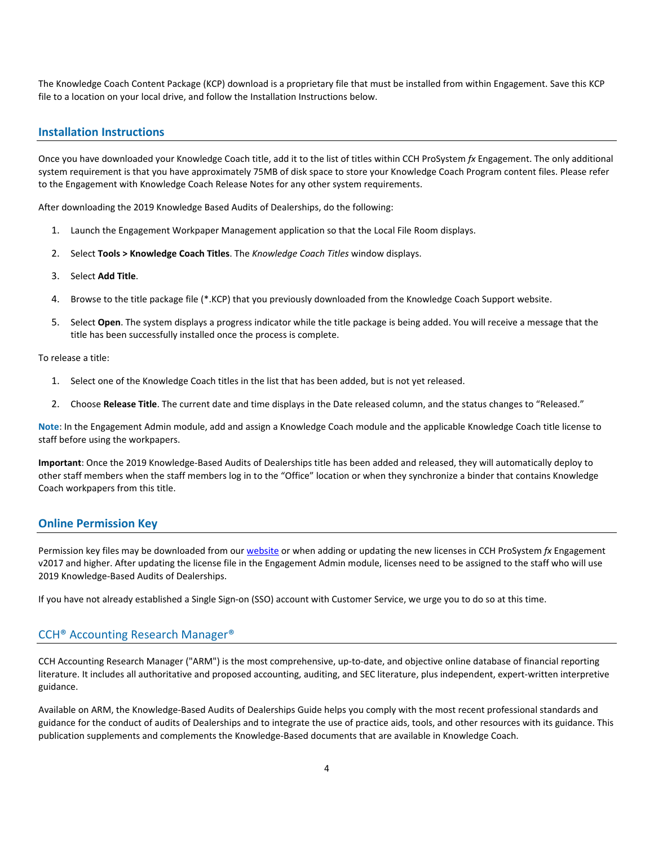The Knowledge Coach Content Package (KCP) download is a proprietary file that must be installed from within Engagement. Save this KCP file to a location on your local drive, and follow the Installation Instructions below.

## **Installation Instructions**

Once you have downloaded your Knowledge Coach title, add it to the list of titles within CCH ProSystem *fx* Engagement. The only additional system requirement is that you have approximately 75MB of disk space to store your Knowledge Coach Program content files. Please refer to the Engagement with Knowledge Coach Release Notes for any other system requirements.

After downloading the 2019 Knowledge Based Audits of Dealerships, do the following:

- 1. Launch the Engagement Workpaper Management application so that the Local File Room displays.
- 2. Select **Tools > Knowledge Coach Titles**. The *Knowledge Coach Titles* window displays.
- 3. Select **Add Title**.
- 4. Browse to the title package file (\*.KCP) that you previously downloaded from the Knowledge Coach Support website.
- 5. Select **Open**. The system displays a progress indicator while the title package is being added. You will receive a message that the title has been successfully installed once the process is complete.

To release a title:

- 1. Select one of the Knowledge Coach titles in the list that has been added, but is not yet released.
- 2. Choose **Release Title**. The current date and time displays in the Date released column, and the status changes to "Released."

**Note**: In the Engagement Admin module, add and assign a Knowledge Coach module and the applicable Knowledge Coach title license to staff before using the workpapers.

**Important**: Once the 2019 Knowledge-Based Audits of Dealerships title has been added and released, they will automatically deploy to other staff members when the staff members log in to the "Office" location or when they synchronize a binder that contains Knowledge Coach workpapers from this title.

## **Online Permission Key**

Permission key files may be downloaded from our [website](https://prosystemfxsupport.tax.cchgroup.com/permkey/download.aspx) or when adding or updating the new licenses in CCH ProSystem *fx* Engagement v2017 and higher. After updating the license file in the Engagement Admin module, licenses need to be assigned to the staff who will use 2019 Knowledge-Based Audits of Dealerships.

If you have not already established a Single Sign-on (SSO) account with Customer Service, we urge you to do so at this time.

## CCH® Accounting Research Manager®

CCH Accounting Research Manager ("ARM") is the most comprehensive, up-to-date, and objective online database of financial reporting literature. It includes all authoritative and proposed accounting, auditing, and SEC literature, plus independent, expert-written interpretive guidance.

Available on ARM, the Knowledge-Based Audits of Dealerships Guide helps you comply with the most recent professional standards and guidance for the conduct of audits of Dealerships and to integrate the use of practice aids, tools, and other resources with its guidance. This publication supplements and complements the Knowledge-Based documents that are available in Knowledge Coach.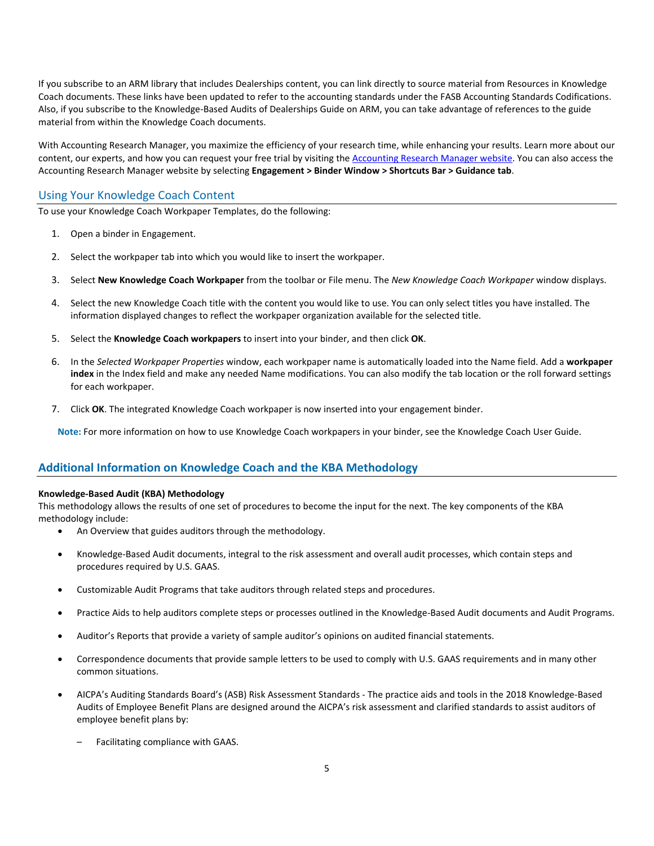If you subscribe to an ARM library that includes Dealerships content, you can link directly to source material from Resources in Knowledge Coach documents. These links have been updated to refer to the accounting standards under the FASB Accounting Standards Codifications. Also, if you subscribe to the Knowledge-Based Audits of Dealerships Guide on ARM, you can take advantage of references to the guide material from within the Knowledge Coach documents.

With Accounting Research Manager, you maximize the efficiency of your research time, while enhancing your results. Learn more about our content, our experts, and how you can request your free trial by visiting the [Accounting Research Manager website.](http://www.accountingresearchmanager.com/) You can also access the Accounting Research Manager website by selecting **Engagement > Binder Window > Shortcuts Bar > Guidance tab**.

# Using Your Knowledge Coach Content

To use your Knowledge Coach Workpaper Templates, do the following:

- 1. Open a binder in Engagement.
- 2. Select the workpaper tab into which you would like to insert the workpaper.
- 3. Select **New Knowledge Coach Workpaper** from the toolbar or File menu. The *New Knowledge Coach Workpaper* window displays.
- 4. Select the new Knowledge Coach title with the content you would like to use. You can only select titles you have installed. The information displayed changes to reflect the workpaper organization available for the selected title.
- 5. Select the **Knowledge Coach workpapers** to insert into your binder, and then click **OK**.
- 6. In the *Selected Workpaper Properties* window, each workpaper name is automatically loaded into the Name field. Add a **workpaper index** in the Index field and make any needed Name modifications. You can also modify the tab location or the roll forward settings for each workpaper.
- 7. Click **OK**. The integrated Knowledge Coach workpaper is now inserted into your engagement binder.

**Note:** For more information on how to use Knowledge Coach workpapers in your binder, see the Knowledge Coach User Guide.

# **Additional Information on Knowledge Coach and the KBA Methodology**

# **Knowledge-Based Audit (KBA) Methodology**

This methodology allows the results of one set of procedures to become the input for the next. The key components of the KBA methodology include:

- An Overview that guides auditors through the methodology.
- Knowledge-Based Audit documents, integral to the risk assessment and overall audit processes, which contain steps and procedures required by U.S. GAAS.
- Customizable Audit Programs that take auditors through related steps and procedures.
- Practice Aids to help auditors complete steps or processes outlined in the Knowledge-Based Audit documents and Audit Programs.
- Auditor's Reports that provide a variety of sample auditor's opinions on audited financial statements.
- Correspondence documents that provide sample letters to be used to comply with U.S. GAAS requirements and in many other common situations.
- AICPA's Auditing Standards Board's (ASB) Risk Assessment Standards The practice aids and tools in the 2018 Knowledge-Based Audits of Employee Benefit Plans are designed around the AICPA's risk assessment and clarified standards to assist auditors of employee benefit plans by:
	- Facilitating compliance with GAAS.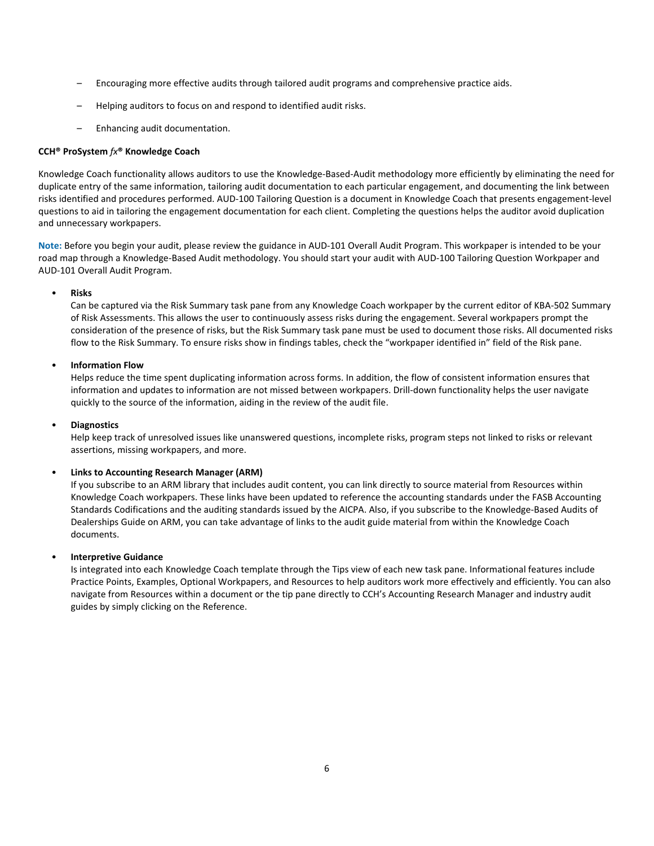- Encouraging more effective audits through tailored audit programs and comprehensive practice aids.
- Helping auditors to focus on and respond to identified audit risks.
- Enhancing audit documentation.

## **CCH® ProSystem** *fx***® Knowledge Coach**

Knowledge Coach functionality allows auditors to use the Knowledge-Based-Audit methodology more efficiently by eliminating the need for duplicate entry of the same information, tailoring audit documentation to each particular engagement, and documenting the link between risks identified and procedures performed. AUD-100 Tailoring Question is a document in Knowledge Coach that presents engagement-level questions to aid in tailoring the engagement documentation for each client. Completing the questions helps the auditor avoid duplication and unnecessary workpapers.

**Note:** Before you begin your audit, please review the guidance in AUD-101 Overall Audit Program. This workpaper is intended to be your road map through a Knowledge-Based Audit methodology. You should start your audit with AUD-100 Tailoring Question Workpaper and AUD-101 Overall Audit Program.

## • **Risks**

Can be captured via the Risk Summary task pane from any Knowledge Coach workpaper by the current editor of KBA-502 Summary of Risk Assessments. This allows the user to continuously assess risks during the engagement. Several workpapers prompt the consideration of the presence of risks, but the Risk Summary task pane must be used to document those risks. All documented risks flow to the Risk Summary. To ensure risks show in findings tables, check the "workpaper identified in" field of the Risk pane.

## • **Information Flow**

Helps reduce the time spent duplicating information across forms. In addition, the flow of consistent information ensures that information and updates to information are not missed between workpapers. Drill-down functionality helps the user navigate quickly to the source of the information, aiding in the review of the audit file.

## • **Diagnostics**

Help keep track of unresolved issues like unanswered questions, incomplete risks, program steps not linked to risks or relevant assertions, missing workpapers, and more.

## • **Links to Accounting Research Manager (ARM)**

If you subscribe to an ARM library that includes audit content, you can link directly to source material from Resources within Knowledge Coach workpapers. These links have been updated to reference the accounting standards under the FASB Accounting Standards Codifications and the auditing standards issued by the AICPA. Also, if you subscribe to the Knowledge-Based Audits of Dealerships Guide on ARM, you can take advantage of links to the audit guide material from within the Knowledge Coach documents.

#### • **Interpretive Guidance**

Is integrated into each Knowledge Coach template through the Tips view of each new task pane. Informational features include Practice Points, Examples, Optional Workpapers, and Resources to help auditors work more effectively and efficiently. You can also navigate from Resources within a document or the tip pane directly to CCH's Accounting Research Manager and industry audit guides by simply clicking on the Reference.